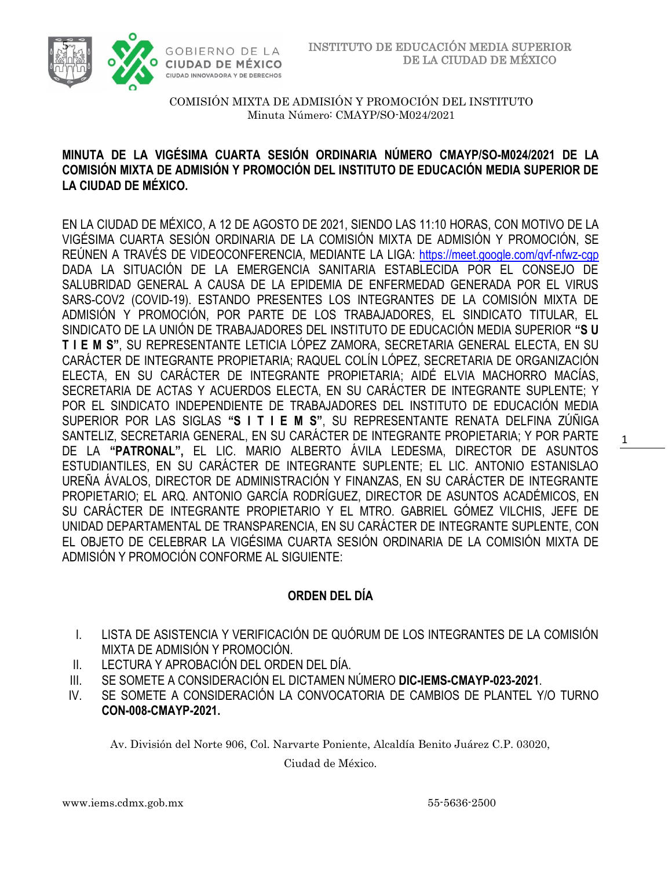



### **MINUTA DE LA VIGÉSIMA CUARTA SESIÓN ORDINARIA NÚMERO CMAYP/SO-M024/2021 DE LA COMISIÓN MIXTA DE ADMISIÓN Y PROMOCIÓN DEL INSTITUTO DE EDUCACIÓN MEDIA SUPERIOR DE LA CIUDAD DE MÉXICO.**

EN LA CIUDAD DE MÉXICO, A 12 DE AGOSTO DE 2021, SIENDO LAS 11:10 HORAS, CON MOTIVO DE LA VIGÉSIMA CUARTA SESIÓN ORDINARIA DE LA COMISIÓN MIXTA DE ADMISIÓN Y PROMOCIÓN, SE REÚNEN A TRAVÉS DE VIDEOCONFERENCIA, MEDIANTE LA LIGA: <https://meet.google.com/qvf-nfwz-cgp> DADA LA SITUACIÓN DE LA EMERGENCIA SANITARIA ESTABLECIDA POR EL CONSEJO DE SALUBRIDAD GENERAL A CAUSA DE LA EPIDEMIA DE ENFERMEDAD GENERADA POR EL VIRUS SARS-COV2 (COVID-19). ESTANDO PRESENTES LOS INTEGRANTES DE LA COMISIÓN MIXTA DE ADMISIÓN Y PROMOCIÓN, POR PARTE DE LOS TRABAJADORES, EL SINDICATO TITULAR, EL SINDICATO DE LA UNIÓN DE TRABAJADORES DEL INSTITUTO DE EDUCACIÓN MEDIA SUPERIOR **"S U T I E M S"**, SU REPRESENTANTE LETICIA LÓPEZ ZAMORA, SECRETARIA GENERAL ELECTA, EN SU CARÁCTER DE INTEGRANTE PROPIETARIA; RAQUEL COLÍN LÓPEZ, SECRETARIA DE ORGANIZACIÓN ELECTA, EN SU CARÁCTER DE INTEGRANTE PROPIETARIA; AIDÉ ELVIA MACHORRO MACÍAS, SECRETARIA DE ACTAS Y ACUERDOS ELECTA, EN SU CARÁCTER DE INTEGRANTE SUPLENTE; Y POR EL SINDICATO INDEPENDIENTE DE TRABAJADORES DEL INSTITUTO DE EDUCACIÓN MEDIA SUPERIOR POR LAS SIGLAS **"S I T I E M S"**, SU REPRESENTANTE RENATA DELFINA ZÚÑIGA SANTELIZ, SECRETARIA GENERAL, EN SU CARÁCTER DE INTEGRANTE PROPIETARIA; Y POR PARTE DE LA **"PATRONAL",** EL LIC. MARIO ALBERTO ÁVILA LEDESMA, DIRECTOR DE ASUNTOS ESTUDIANTILES, EN SU CARÁCTER DE INTEGRANTE SUPLENTE; EL LIC. ANTONIO ESTANISLAO UREÑA ÁVALOS, DIRECTOR DE ADMINISTRACIÓN Y FINANZAS, EN SU CARÁCTER DE INTEGRANTE PROPIETARIO; EL ARQ. ANTONIO GARCÍA RODRÍGUEZ, DIRECTOR DE ASUNTOS ACADÉMICOS, EN SU CARÁCTER DE INTEGRANTE PROPIETARIO Y EL MTRO. GABRIEL GÓMEZ VILCHIS, JEFE DE UNIDAD DEPARTAMENTAL DE TRANSPARENCIA, EN SU CARÁCTER DE INTEGRANTE SUPLENTE, CON EL OBJETO DE CELEBRAR LA VIGÉSIMA CUARTA SESIÓN ORDINARIA DE LA COMISIÓN MIXTA DE ADMISIÓN Y PROMOCIÓN CONFORME AL SIGUIENTE:

## **ORDEN DEL DÍA**

- I. LISTA DE ASISTENCIA Y VERIFICACIÓN DE QUÓRUM DE LOS INTEGRANTES DE LA COMISIÓN MIXTA DE ADMISIÓN Y PROMOCIÓN.
- II. LECTURA Y APROBACIÓN DEL ORDEN DEL DÍA.
- III. SE SOMETE A CONSIDERACIÓN EL DICTAMEN NÚMERO **DIC-IEMS-CMAYP-023-2021**.
- IV. SE SOMETE A CONSIDERACIÓN LA CONVOCATORIA DE CAMBIOS DE PLANTEL Y/O TURNO **CON-008-CMAYP-2021.**

Av. División del Norte 906, Col. Narvarte Poniente, Alcaldía Benito Juárez C.P. 03020,

Ciudad de México.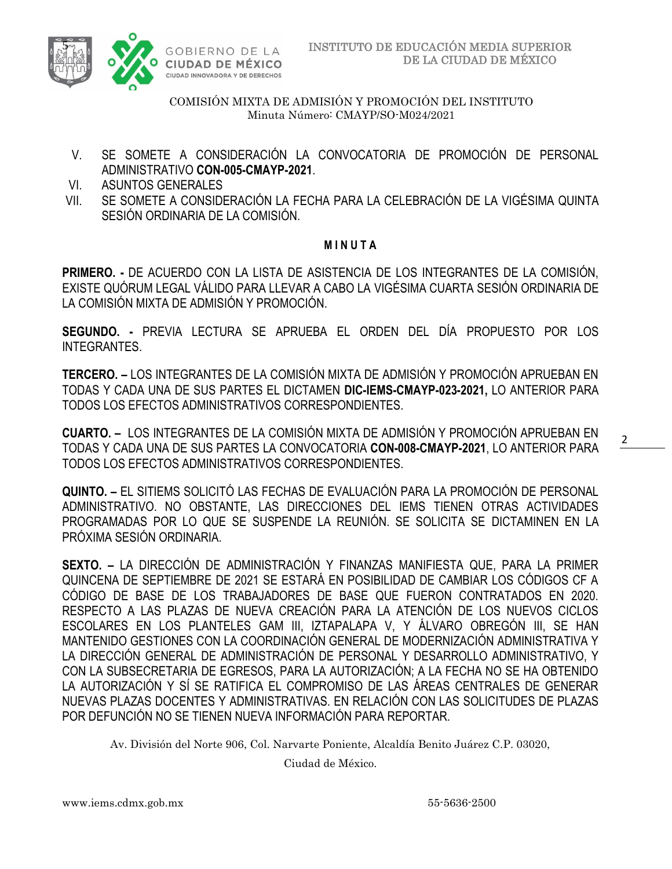

- V. SE SOMETE A CONSIDERACIÓN LA CONVOCATORIA DE PROMOCIÓN DE PERSONAL ADMINISTRATIVO **CON-005-CMAYP-2021**.
- VI. ASUNTOS GENERALES
- VII. SE SOMETE A CONSIDERACIÓN LA FECHA PARA LA CELEBRACIÓN DE LA VIGÉSIMA QUINTA SESIÓN ORDINARIA DE LA COMISIÓN.

#### **M I N U T A**

**PRIMERO. -** DE ACUERDO CON LA LISTA DE ASISTENCIA DE LOS INTEGRANTES DE LA COMISIÓN, EXISTE QUÓRUM LEGAL VÁLIDO PARA LLEVAR A CABO LA VIGÉSIMA CUARTA SESIÓN ORDINARIA DE LA COMISIÓN MIXTA DE ADMISIÓN Y PROMOCIÓN.

**SEGUNDO. -** PREVIA LECTURA SE APRUEBA EL ORDEN DEL DÍA PROPUESTO POR LOS INTEGRANTES.

**TERCERO. –** LOS INTEGRANTES DE LA COMISIÓN MIXTA DE ADMISIÓN Y PROMOCIÓN APRUEBAN EN TODAS Y CADA UNA DE SUS PARTES EL DICTAMEN **DIC-IEMS-CMAYP-023-2021,** LO ANTERIOR PARA TODOS LOS EFECTOS ADMINISTRATIVOS CORRESPONDIENTES.

**CUARTO. –** LOS INTEGRANTES DE LA COMISIÓN MIXTA DE ADMISIÓN Y PROMOCIÓN APRUEBAN EN TODAS Y CADA UNA DE SUS PARTES LA CONVOCATORIA **CON-008-CMAYP-2021**, LO ANTERIOR PARA TODOS LOS EFECTOS ADMINISTRATIVOS CORRESPONDIENTES.

**QUINTO. –** EL SITIEMS SOLICITÓ LAS FECHAS DE EVALUACIÓN PARA LA PROMOCIÓN DE PERSONAL ADMINISTRATIVO. NO OBSTANTE, LAS DIRECCIONES DEL IEMS TIENEN OTRAS ACTIVIDADES PROGRAMADAS POR LO QUE SE SUSPENDE LA REUNIÓN. SE SOLICITA SE DICTAMINEN EN LA PRÓXIMA SESIÓN ORDINARIA.

**SEXTO. –** LA DIRECCIÓN DE ADMINISTRACIÓN Y FINANZAS MANIFIESTA QUE, PARA LA PRIMER QUINCENA DE SEPTIEMBRE DE 2021 SE ESTARÁ EN POSIBILIDAD DE CAMBIAR LOS CÓDIGOS CF A CÓDIGO DE BASE DE LOS TRABAJADORES DE BASE QUE FUERON CONTRATADOS EN 2020. RESPECTO A LAS PLAZAS DE NUEVA CREACIÓN PARA LA ATENCIÓN DE LOS NUEVOS CICLOS ESCOLARES EN LOS PLANTELES GAM III, IZTAPALAPA V, Y ÁLVARO OBREGÓN III, SE HAN MANTENIDO GESTIONES CON LA COORDINACIÓN GENERAL DE MODERNIZACIÓN ADMINISTRATIVA Y LA DIRECCIÓN GENERAL DE ADMINISTRACIÓN DE PERSONAL Y DESARROLLO ADMINISTRATIVO, Y CON LA SUBSECRETARIA DE EGRESOS, PARA LA AUTORIZACIÓN; A LA FECHA NO SE HA OBTENIDO LA AUTORIZACIÓN Y SÍ SE RATIFICA EL COMPROMISO DE LAS ÁREAS CENTRALES DE GENERAR NUEVAS PLAZAS DOCENTES Y ADMINISTRATIVAS. EN RELACIÓN CON LAS SOLICITUDES DE PLAZAS POR DEFUNCIÓN NO SE TIENEN NUEVA INFORMACIÓN PARA REPORTAR.

Av. División del Norte 906, Col. Narvarte Poniente, Alcaldía Benito Juárez C.P. 03020,

Ciudad de México.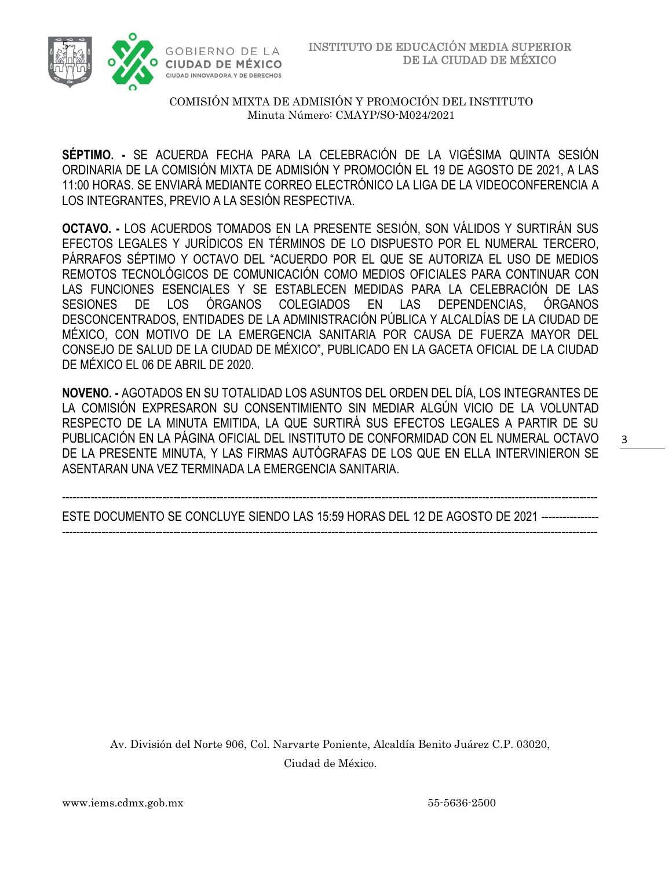

**SÉPTIMO. -** SE ACUERDA FECHA PARA LA CELEBRACIÓN DE LA VIGÉSIMA QUINTA SESIÓN ORDINARIA DE LA COMISIÓN MIXTA DE ADMISIÓN Y PROMOCIÓN EL 19 DE AGOSTO DE 2021, A LAS 11:00 HORAS. SE ENVIARÁ MEDIANTE CORREO ELECTRÓNICO LA LIGA DE LA VIDEOCONFERENCIA A LOS INTEGRANTES, PREVIO A LA SESIÓN RESPECTIVA.

**OCTAVO. -** LOS ACUERDOS TOMADOS EN LA PRESENTE SESIÓN, SON VÁLIDOS Y SURTIRÁN SUS EFECTOS LEGALES Y JURÍDICOS EN TÉRMINOS DE LO DISPUESTO POR EL NUMERAL TERCERO, PÁRRAFOS SÉPTIMO Y OCTAVO DEL "ACUERDO POR EL QUE SE AUTORIZA EL USO DE MEDIOS REMOTOS TECNOLÓGICOS DE COMUNICACIÓN COMO MEDIOS OFICIALES PARA CONTINUAR CON LAS FUNCIONES ESENCIALES Y SE ESTABLECEN MEDIDAS PARA LA CELEBRACIÓN DE LAS SESIONES DE LOS ÓRGANOS COLEGIADOS EN LAS DEPENDENCIAS, ÓRGANOS DESCONCENTRADOS, ENTIDADES DE LA ADMINISTRACIÓN PÚBLICA Y ALCALDÍAS DE LA CIUDAD DE MÉXICO, CON MOTIVO DE LA EMERGENCIA SANITARIA POR CAUSA DE FUERZA MAYOR DEL CONSEJO DE SALUD DE LA CIUDAD DE MÉXICO", PUBLICADO EN LA GACETA OFICIAL DE LA CIUDAD DE MÉXICO EL 06 DE ABRIL DE 2020.

**NOVENO. -** AGOTADOS EN SU TOTALIDAD LOS ASUNTOS DEL ORDEN DEL DÍA, LOS INTEGRANTES DE LA COMISIÓN EXPRESARON SU CONSENTIMIENTO SIN MEDIAR ALGÚN VICIO DE LA VOLUNTAD RESPECTO DE LA MINUTA EMITIDA, LA QUE SURTIRÁ SUS EFECTOS LEGALES A PARTIR DE SU PUBLICACIÓN EN LA PÁGINA OFICIAL DEL INSTITUTO DE CONFORMIDAD CON EL NUMERAL OCTAVO DE LA PRESENTE MINUTA, Y LAS FIRMAS AUTÓGRAFAS DE LOS QUE EN ELLA INTERVINIERON SE ASENTARAN UNA VEZ TERMINADA LA EMERGENCIA SANITARIA.

----------------------------------------------------------------------------------------------------------------------------------------------------- ESTE DOCUMENTO SE CONCLUYE SIENDO LAS 15:59 HORAS DEL 12 DE AGOSTO DE 2021 ---------------- -----------------------------------------------------------------------------------------------------------------------------------------------------

Av. División del Norte 906, Col. Narvarte Poniente, Alcaldía Benito Juárez C.P. 03020, Ciudad de México.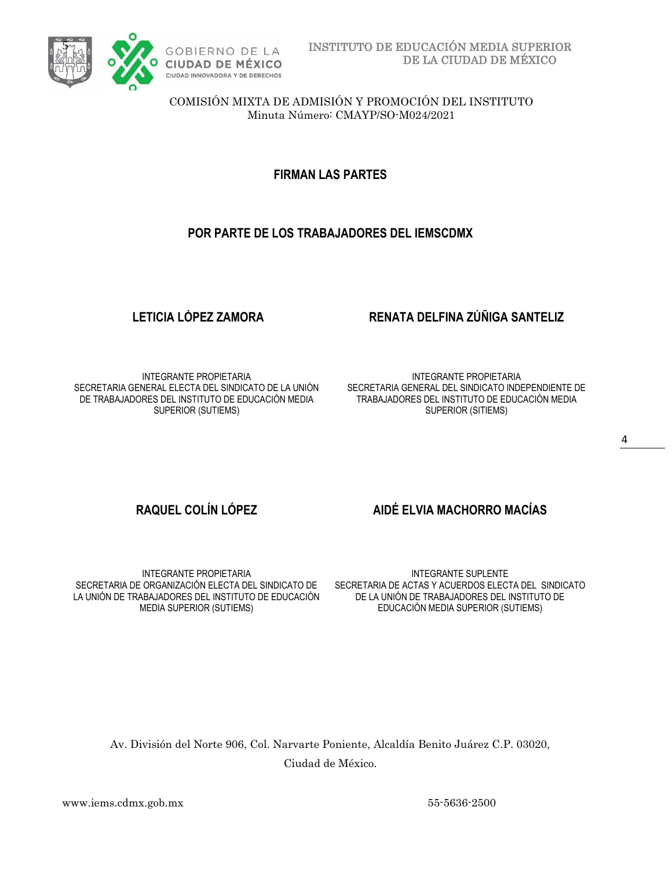

**FIRMAN LAS PARTES**

## **POR PARTE DE LOS TRABAJADORES DEL IEMSCDMX**

# **LETICIA LÓPEZ ZAMORA RENATA DELFINA ZÚÑIGA SANTELIZ**

INTEGRANTE PROPIETARIA SECRETARIA GENERAL ELECTA DEL SINDICATO DE LA UNIÓN DE TRABAJADORES DEL INSTITUTO DE EDUCACIÓN MEDIA SUPERIOR (SUTIEMS)

INTEGRANTE PROPIETARIA SECRETARIA GENERAL DEL SINDICATO INDEPENDIENTE DE TRABAJADORES DEL INSTITUTO DE EDUCACIÓN MEDIA SUPERIOR (SITIEMS)

# **RAQUEL COLÍN LÓPEZ AIDÉ ELVIA MACHORRO MACÍAS**

INTEGRANTE PROPIETARIA SECRETARIA DE ORGANIZACIÓN ELECTA DEL SINDICATO DE LA UNIÓN DE TRABAJADORES DEL INSTITUTO DE EDUCACIÓN MEDIA SUPERIOR (SUTIEMS)

INTEGRANTE SUPLENTE SECRETARIA DE ACTAS Y ACUERDOS ELECTA DEL SINDICATO DE LA UNIÓN DE TRABAJADORES DEL INSTITUTO DE EDUCACIÓN MEDIA SUPERIOR (SUTIEMS)

Av. División del Norte 906, Col. Narvarte Poniente, Alcaldía Benito Juárez C.P. 03020, Ciudad de México.